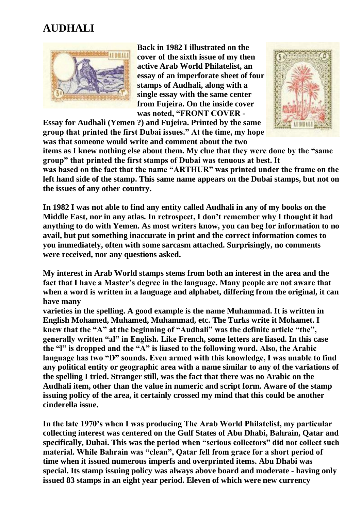## **AUDHALI**



**Back in 1982 I illustrated on the cover of the sixth issue of my then active Arab World Philatelist, an essay of an imperforate sheet of four stamps of Audhali, along with a single essay with the same center from Fujeira. On the inside cover was noted, "FRONT COVER -**

**Essay for Audhali (Yemen ?) and Fujeira. Printed by the same group that printed the first Dubai issues." At the time, my hope was that someone would write and comment about the two** 



**items as I knew nothing else about them. My clue that they were done by the "same group" that printed the first stamps of Dubai was tenuous at best. It**

**was based on the fact that the name "ARTHUR" was printed under the frame on the left hand side of the stamp. This same name appears on the Dubai stamps, but not on the issues of any other country.**

**In 1982 I was not able to find any entity called Audhali in any of my books on the Middle East, nor in any atlas. In retrospect, I don't remember why I thought it had anything to do with Yemen. As most writers know, you can beg for information to no avail, but put something inaccurate in print and the correct information comes to you immediately, often with some sarcasm attached. Surprisingly, no comments were received, nor any questions asked.**

**My interest in Arab World stamps stems from both an interest in the area and the fact that I have a Master's degree in the language. Many people are not aware that when a word is written in a language and alphabet, differing from the original, it can have many**

**varieties in the spelling. A good example is the name Muhammad. It is written in English Mohamed, Muhamed, Muhammad, etc. The Turks write it Mohamet. I knew that the "A" at the beginning of "Audhali" was the definite article "the", generally written "al" in English. Like French, some letters are liased. In this case the "l" is dropped and the "A" is liased to the following word. Also, the Arabic language has two "D" sounds. Even armed with this knowledge, I was unable to find any political entity or geographic area with a name similar to any of the variations of the spelling I tried. Stranger still, was the fact that there was no Arabic on the Audhali item, other than the value in numeric and script form. Aware of the stamp issuing policy of the area, it certainly crossed my mind that this could be another cinderella issue.**

**In the late 1970's when I was producing The Arab World Philatelist, my particular collecting interest was centered on the Gulf States of Abu Dhabi, Bahrain, Qatar and specifically, Dubai. This was the period when "serious collectors" did not collect such material. While Bahrain was "clean", Qatar fell from grace for a short period of time when it issued numerous imperfs and overprinted items. Abu Dhabi was special. Its stamp issuing policy was always above board and moderate - having only issued 83 stamps in an eight year period. Eleven of which were new currency**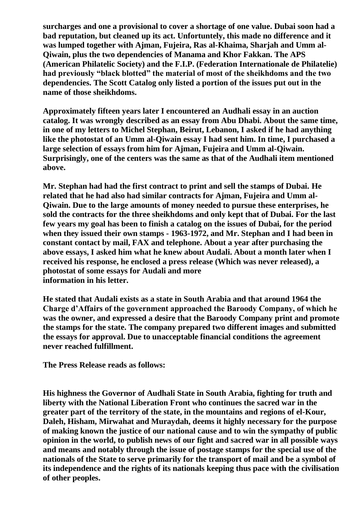**surcharges and one a provisional to cover a shortage of one value. Dubai soon had a bad reputation, but cleaned up its act. Unfortuntely, this made no difference and it was lumped together with Ajman, Fujeira, Ras al-Khaima, Sharjah and Umm al-Qiwain, plus the two dependencies of Manama and Khor Fakkan. The APS (American Philatelic Society) and the F.I.P. (Federation Internationale de Philatelie) had previously "black blotted" the material of most of the sheikhdoms and the two dependencies. The Scott Catalog only listed a portion of the issues put out in the name of those sheikhdoms.**

**Approximately fifteen years later I encountered an Audhali essay in an auction catalog. It was wrongly described as an essay from Abu Dhabi. About the same time, in one of my letters to Michel Stephan, Beirut, Lebanon, I asked if he had anything like the photostat of an Umm al-Qiwain essay I had sent him. In time, I purchased a large selection of essays from him for Ajman, Fujeira and Umm al-Qiwain. Surprisingly, one of the centers was the same as that of the Audhali item mentioned above.**

**Mr. Stephan had had the first contract to print and sell the stamps of Dubai. He related that he had also had similar contracts for Ajman, Fujeira and Umm al-Qiwain. Due to the large amounts of money needed to pursue these enterprises, he sold the contracts for the three sheikhdoms and only kept that of Dubai. For the last few years my goal has been to finish a catalog on the issues of Dubai, for the period when they issued their own stamps - 1963-1972, and Mr. Stephan and I had been in constant contact by mail, FAX and telephone. About a year after purchasing the above essays, I asked him what he knew about Audali. About a month later when I**  received his response, he enclosed a press release (Which was never released), a **photostat of some essays for Audali and more information in his letter.**

**He stated that Audali exists as a state in South Arabia and that around 1964 the Charge d'Affairs of the government approached the Baroody Company, of which he was the owner, and expressed a desire that the Baroody Company print and promote the stamps for the state. The company prepared two different images and submitted the essays for approval. Due to unacceptable financial conditions the agreement never reached fulfillment.**

**The Press Release reads as follows:**

**His highness the Governor of Audhali State in South Arabia, fighting for truth and liberty with the National Liberation Front who continues the sacred war in the greater part of the territory of the state, in the mountains and regions of el-Kour, Daleh, Hisham, Mirwahat and Muraydah, deems it highly necessary for the purpose of making known the justice of our national cause and to win the sympathy of public opinion in the world, to publish news of our fight and sacred war in all possible ways and means and notably through the issue of postage stamps for the special use of the nationals of the State to serve primarily for the transport of mail and be a symbol of its independence and the rights of its nationals keeping thus pace with the civilisation of other peoples.**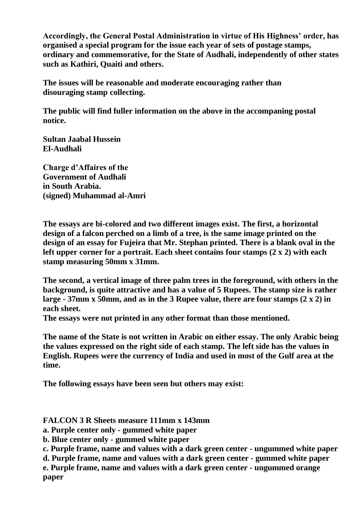**Accordingly, the General Postal Administration in virtue of His Highness' order, has organised a special program for the issue each year of sets of postage stamps, ordinary and commemorative, for the State of Audhali, independently of other states such as Kathiri, Quaiti and others.**

**The issues will be reasonable and moderate encouraging rather than disouraging stamp collecting.**

**The public will find fuller information on the above in the accompaning postal notice.**

**Sultan Jaabal Hussein El-Audhali**

**Charge d'Affaires of the Government of Audhali in South Arabia. (signed) Muhammad al-Amri**

**The essays are bi-colored and two different images exist. The first, a horizontal design of a falcon perched on a limb of a tree, is the same image printed on the design of an essay for Fujeira that Mr. Stephan printed. There is a blank oval in the left upper corner for a portrait. Each sheet contains four stamps (2 x 2) with each stamp measuring 50mm x 31mm.**

**The second, a vertical image of three palm trees in the foreground, with others in the background, is quite attractive and has a value of 5 Rupees. The stamp size is rather large - 37mm x 50mm, and as in the 3 Rupee value, there are four stamps (2 x 2) in each sheet.**

**The essays were not printed in any other format than those mentioned.**

**The name of the State is not written in Arabic on either essay. The only Arabic being the values expressed on the right side of each stamp. The left side has the values in English. Rupees were the currency of India and used in most of the Gulf area at the time.**

**The following essays have been seen but others may exist:**

**FALCON 3 R Sheets measure 111mm x 143mm**

**a. Purple center only - gummed white paper**

**b. Blue center only - gummed white paper**

**c. Purple frame, name and values with a dark green center - ungummed white paper**

**d. Purple frame, name and values with a dark green center - gummed white paper e. Purple frame, name and values with a dark green center - ungummed orange paper**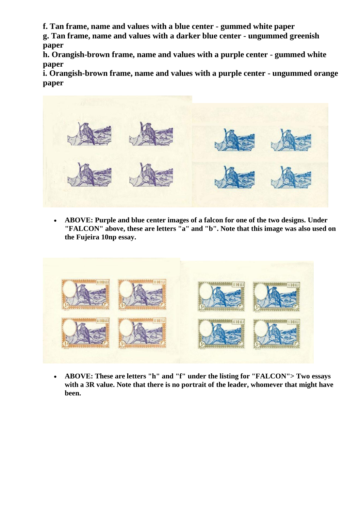**f. Tan frame, name and values with a blue center - gummed white paper**

**g. Tan frame, name and values with a darker blue center - ungummed greenish paper**

**h. Orangish-brown frame, name and values with a purple center - gummed white paper**

**i. Orangish-brown frame, name and values with a purple center - ungummed orange paper**



• **ABOVE: Purple and blue center images of a falcon for one of the two designs. Under "FALCON" above, these are letters "a" and "b". Note that this image was also used on the Fujeira 10np essay.**



• **ABOVE: These are letters "h" and "f" under the listing for "FALCON"> Two essays with a 3R value. Note that there is no portrait of the leader, whomever that might have been.**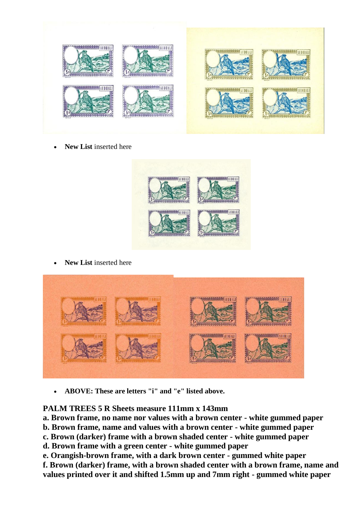

**New List** inserted here



**New List** inserted here



• **ABOVE: These are letters "i" and "e" listed above.**

## **PALM TREES 5 R Sheets measure 111mm x 143mm**

**a. Brown frame, no name nor values with a brown center - white gummed paper**

**b. Brown frame, name and values with a brown center - white gummed paper**

**c. Brown (darker) frame with a brown shaded center - white gummed paper**

**d. Brown frame with a green center - white gummed paper**

**e. Orangish-brown frame, with a dark brown center - gummed white paper f. Brown (darker) frame, with a brown shaded center with a brown frame, name and** 

**values printed over it and shifted 1.5mm up and 7mm right - gummed white paper**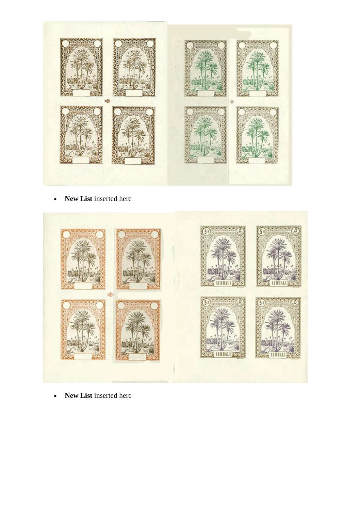

• **New List** inserted here



• **New List** inserted here